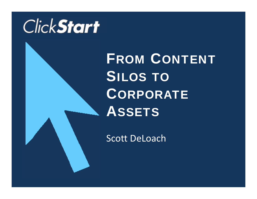

FROM CONTENT **SILOS TO** CORPORATE **ASSETS** 

Scott DeLoach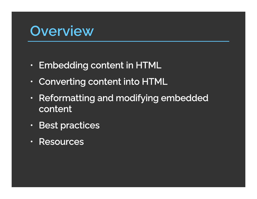# **Overview**

- $\mathbf \Omega$  $\cdot$  Embedding content in HTML
- $\mathbf C$  $\cdot$  Converting content into HTML
- $\bullet$  $\cdot$  Reformatting and modifying embedded content
- $\bullet$ • Best practices
- Resources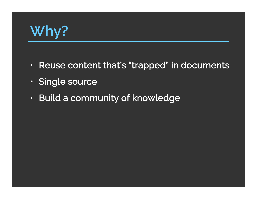# **Why?**

- $\mathbf \Omega$  $\,\cdot\,$  Reuse content that's "trapped" in documents
- $\mathbf C$ Single source
- $\bullet$  $\,\cdot\,$  Build a community of knowledge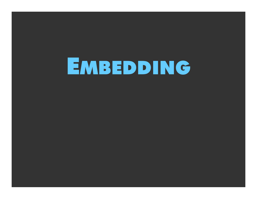# EMBEDDING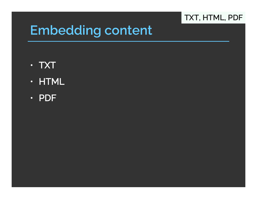#### **TXT, HTML, PDF**

- TXT
- HTML
- PDF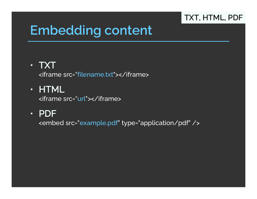#### **TXT, HTML, PDF**

# **Embedding content**

### • TXT

<iframe src="filename.txt"></iframe>

### • HTML

<iframe src="url"></iframe>

### • PDF

<embed src="example.pdf" type="application/pdf" />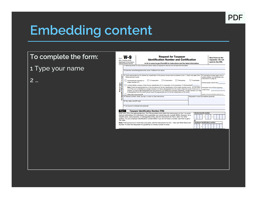

# **Embedding content**

#### To complete the form

#### 1 Type your name

2 …

|                                        | Department of the Treasury<br><b>Internal Revenue Service</b> | <b>Identification Number and Certification</b><br>Go to www.irs.gov/FormW9 for instructions and the latest information.                                                                                                                                                                                                                                                                                                                                                                                                                                                                                                                                                     |                                                                              | <b>Give Form to the</b><br>requester. Do not<br>send to the IRS.                                        |
|----------------------------------------|---------------------------------------------------------------|-----------------------------------------------------------------------------------------------------------------------------------------------------------------------------------------------------------------------------------------------------------------------------------------------------------------------------------------------------------------------------------------------------------------------------------------------------------------------------------------------------------------------------------------------------------------------------------------------------------------------------------------------------------------------------|------------------------------------------------------------------------------|---------------------------------------------------------------------------------------------------------|
|                                        |                                                               | 1 Name (as shown on your income tax return). Name is required on this line; do not leave this line blank.                                                                                                                                                                                                                                                                                                                                                                                                                                                                                                                                                                   |                                                                              |                                                                                                         |
|                                        |                                                               | 2 Business name/disregarded entity name, if different from above                                                                                                                                                                                                                                                                                                                                                                                                                                                                                                                                                                                                            |                                                                              |                                                                                                         |
| ಣೆ<br>pages                            | following seven boxes.                                        | 3 Check appropriate box for federal tax classification of the person whose name is entered on line 1. Check only one of the<br>C Corporation<br>S Corporation<br>Partnership                                                                                                                                                                                                                                                                                                                                                                                                                                                                                                | Trust/estate                                                                 | 4 Exemptions (codes apply only to<br>certain entities, not individuals; see<br>instructions on page 3): |
| g                                      | Individual/sole proprietor or<br>single-member LLC            |                                                                                                                                                                                                                                                                                                                                                                                                                                                                                                                                                                                                                                                                             |                                                                              | Exempt payee code (if any)                                                                              |
| pecific Instructions<br>Print or type. |                                                               | Limited liability company. Enter the tax classification (C=C corporation, S=S corporation, P=Partnership) ▶<br>Note: Check the appropriate box in the line above for the tax classification of the single-member owner. Do not check<br>LLC if the LLC is classified as a single-member LLC that is disregarded from the owner unless the owner of the LLC is<br>another LLC that is not disregarded from the owner for U.S. federal tax purposes. Otherwise, a single-member LLC that<br>is disregarded from the owner should check the appropriate box for the tax classification of its owner.                                                                           | code (if anv)                                                                | <b>Exemption from FATCA reporting</b>                                                                   |
|                                        | Other (see instructions)                                      |                                                                                                                                                                                                                                                                                                                                                                                                                                                                                                                                                                                                                                                                             |                                                                              | (Applies to accounts maintained outside the U.S.)                                                       |
| ശ                                      |                                                               | 5 Address (number, street, and apt. or suite no.) See instructions.                                                                                                                                                                                                                                                                                                                                                                                                                                                                                                                                                                                                         | Requester's name and address (optional)                                      |                                                                                                         |
| å                                      |                                                               |                                                                                                                                                                                                                                                                                                                                                                                                                                                                                                                                                                                                                                                                             |                                                                              |                                                                                                         |
|                                        | 6 City, state, and ZIP code                                   |                                                                                                                                                                                                                                                                                                                                                                                                                                                                                                                                                                                                                                                                             |                                                                              |                                                                                                         |
| Part I<br>TIN, later.                  |                                                               | <b>Taxpayer Identification Number (TIN)</b><br>Enter your TIN in the appropriate box. The TIN provided must match the name given on line 1 to avoid<br>backup withholding. For individuals, this is generally your social security number (SSN). However, for a<br>resident alien, sole proprietor, or disregarded entity, see the instructions for Part I, later. For other<br>entities, it is your employer identification number (EIN). If you do not have a number, see How to get a<br>Note: If the account is in more than one name, see the instructions for line 1. Also see What Name and<br>Number To Give the Requester for guidelines on whose number to enter. | <b>Social security number</b><br>or<br><b>Employer identification number</b> |                                                                                                         |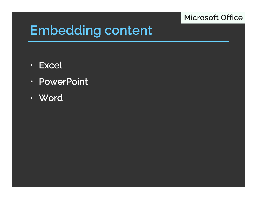#### **Microsoft Office**

- Excel
- PowerPoint
- Word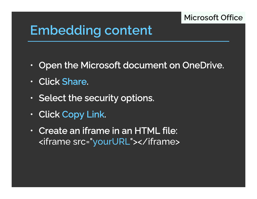#### **Microsoft Office**

- $\mathbf \Omega$  $\cdot$  Open the Microsoft document on OneDrive.
- Click Share.
- $\bullet$  $\cdot$  Select the security options.
- $\Box$  $\cdot$  Click Copy Link.
- Create an iframe in an HTML file: <iframe src="yourURL"></iframe>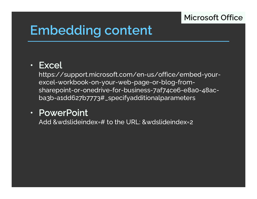#### **Microsoft Office**

# **Embedding content**

### • Excel

https://support.microsoft.com/en-us/office/embed-yourexcel-workbook-on-your-web-page-or-blog-fromsharepoint-or-onedrive-for-business-7af74ce6-e8a0-48acba3b-a1dd627b7773#\_specifyadditionalparameters

### • PowerPoint

Add &wdslideindex=# to the URL: &wdslideindex=2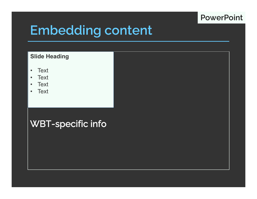#### **PowerPoint**

# **Embedding content**

#### **Slide Heading**

- $\bullet$ **Text**
- $\bullet$ **Text**
- $\bullet$ **Text**
- Text

#### WBT-specific info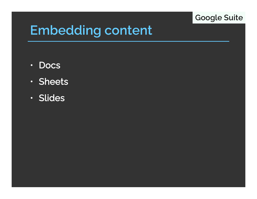#### **Google Suite**

- Docs
- Sheets
- Slides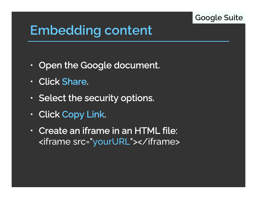#### **Google Suite**

- $\mathbf \Omega$  $\,\cdot\,$  Open the Google document.
- Click Share.
- $\bullet$  $\,\cdot\,$  Select the security options.
- $\Box$  $\cdot$  Click Copy Link.
- Create an iframe in an HTML file: <iframe src="yourURL"></iframe>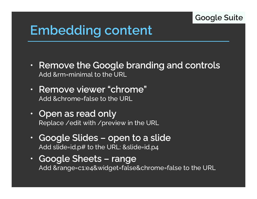#### **Google Suite**

- $\mathbf \Omega$  $\,\cdot\,$  Remove the Google branding and controls Add &rm=minimal to the URL
- Remove viewer "chrome" Add &chrome=false to the URL
- $\bullet$  $\cdot$  Open as read only Replace /edit with /preview in the URL
- • Google Slides – open to a slide Add slide=id.p# to the URL: &slide=id.p4
- $\bullet$  Google Sheets – range Add &range=c1:e4&widget=false&chrome=false to the URL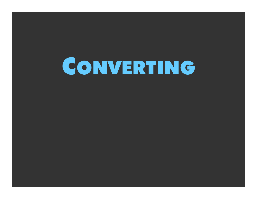# CONVERTING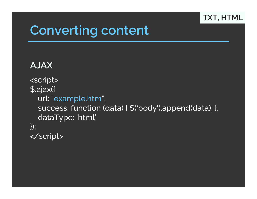#### **TXT, HTML**

## **Converting content**

### AJAX<script> \$.ajax({ url: "example.htm", success: function (data) { \$('body').append(data); }, dataType: 'html' }); </script>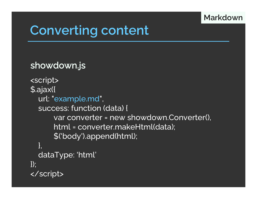#### **Markdown**

# **Converting content**

#### showdown.js

```
<script>
$.ajax({
  url: "example.md",
  success: function (data) { 
      var converter = new showdown.Converter(),
      html = converter.makeHtml(data);
      $('body').append(html); 
  },
  dataType: 'html'
});
</script>
```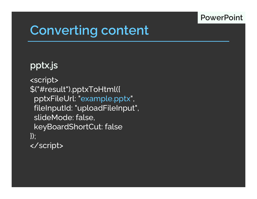#### **PowerPoint**

# **Converting content**

### pptx.js

<script> \$("#result").pptxToHtml({ pptxFileUrl: "example.pptx", fileInputId: "uploadFileInput", slideMode: false, keyBoardShortCut: false  $\}$ ; </script>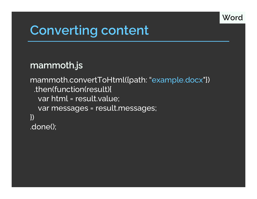

# **Converting content**

### mammoth.js

mammoth.convertToHtml({path: "example.docx"}) .then(function(result){ var html = result.value; var messages = result.messages; }) .done();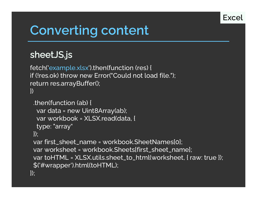

# **Converting content**

### sheetJS.js

fetch('example.xlsx').then(function (res) { if (!res.ok) throw new Error("Could not load file."); return res.arrayBuffer(); })

```
.then(function (ab) {
  var data = new Uint8Array(ab);
  var workbook = XLSX.read(data, {
  type: "array"
\vert);
 var first_sheet_name = workbook.SheetNames[0];
 var worksheet = workbook.Sheets[first_sheet_name];
 var toHTML = XLSX.utils.sheet_to_html(worksheet, { raw: true });
 $('#wrapper').html(toHTML);
\});
```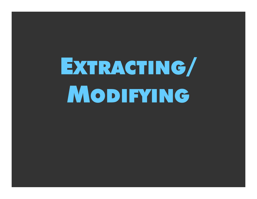# EXTRACTING/ MODIFYING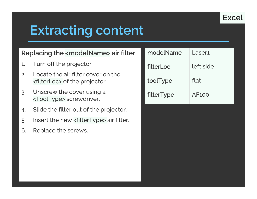

# **Extracting content**

#### Replacing the <modelName> air filter

- 1. Turn off the projector.
- 2. Locate the air filter cover on the <filterLoc> of the projector.
- 3. Unscrew the cover using a <ToolType> screwdriver.
- 4. Slide the filter out of the projector.
- 5. Insert the new <filterType> air filter.
- 6. Replace the screws.

| modelName  | Laser1       |
|------------|--------------|
| filterLoc  | left side    |
| toolType   | flat         |
| filterType | <b>AF100</b> |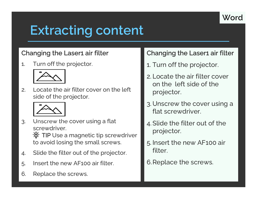

# **Extracting content**

#### Changing the Laser1 air filter

1. Turn off the projector.



2. Locate the air filter cover on the left side of the projector.



3. Unscrew the cover using a flat screwdriver.

TIP Use a magnetic tip screwdriver to avoid losing the small screws.

- 4. Slide the filter out of the projector.
- 5. Insert the new AF100 air filter.
- 6. Replace the screws.

#### Changing the Laser1 air filter

- 1. Turn off the projector.
- 2. Locate the air filter cover on the left side of the projector.
- 3. Unscrew the cover using a flat screwdriver.
- 4. Slide the filter out of the projector.
- 5. Insert the new AF100 air filter.
- 6.Replace the screws.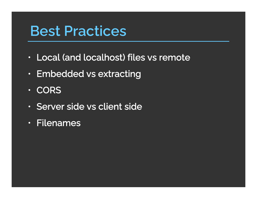# **Best Practices**

- $\mathbf C$ Local (and localhost) files vs remote
- • $\cdot$  Embedded vs extracting
- CORS
- Server side vs client side
- Filenames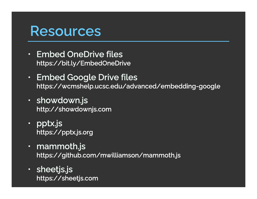### **Resources**

- • Embed OneDrive fileshttps://bit.ly/EmbedOneDrive
- Embed Google Drive files https://wcmshelp.ucsc.edu/advanced/embedding-google
- showdown.js http://showdownjs.com
- • pptx.js https://pptx.js.org
- • mammoth.js https://github.com/mwilliamson/mammoth.js
- • sheetjs.js https://sheetjs.com